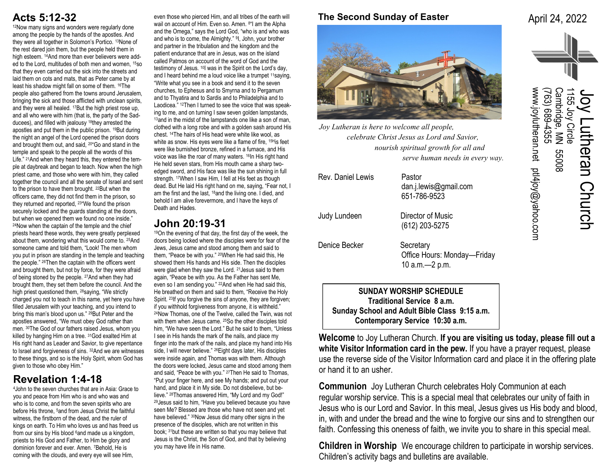# **Acts 5:12-32**

<sup>12</sup>Now many signs and wonders were regularly done among the people by the hands of the apostles. And they were all together in Solomon's Portico. 13None of the rest dared join them, but the people held them in high esteem. <sup>14</sup>And more than ever believers were added to the Lord, multitudes of both men and women, 15so that they even carried out the sick into the streets and laid them on cots and mats, that as Peter came by at least his shadow might fall on some of them. 16The people also gathered from the towns around Jerusalem, bringing the sick and those afflicted with unclean spirits, and they were all healed. 17But the high priest rose up, and all who were with him (that is, the party of the Sadducees), and filled with jealousy 18they arrested the apostles and put them in the public prison. 19But during the night an angel of the Lord opened the prison doors and brought them out, and said, 20"Go and stand in the temple and speak to the people all the words of this Life." <sup>21</sup>And when they heard this, they entered the temple at daybreak and began to teach. Now when the high priest came, and those who were with him, they called together the council and all the senate of Israel and sent to the prison to have them brought. 22But when the officers came, they did not find them in the prison, so they returned and reported, 23"We found the prison securely locked and the guards standing at the doors, but when we opened them we found no one inside." <sup>24</sup>Now when the captain of the temple and the chief priests heard these words, they were greatly perplexed about them, wondering what this would come to. 25And someone came and told them, "Look! The men whom you put in prison are standing in the temple and teaching the people." 26Then the captain with the officers went and brought them, but not by force, for they were afraid of being stoned by the people. 27And when they had brought them, they set them before the council. And the high priest questioned them, 28saying, "We strictly charged you not to teach in this name, yet here you have filled Jerusalem with your teaching, and you intend to bring this man's blood upon us." 29But Peter and the apostles answered, "We must obey God rather than men. 30The God of our fathers raised Jesus, whom you killed by hanging Him on a tree. 31God exalted Him at His right hand as Leader and Savior, to give repentance to Israel and forgiveness of sins. 32And we are witnesses to these things, and so is the Holy Spirit, whom God has given to those who obey Him."

# **Revelation 1:4-18**

<sup>4</sup>John to the seven churches that are in Asia: Grace to you and peace from Him who is and who was and who is to come, and from the seven spirits who are before His throne, 5and from Jesus Christ the faithful witness, the firstborn of the dead, and the ruler of kings on earth. To Him who loves us and has freed us from our sins by His blood 6and made us a kingdom, priests to His God and Father, to Him be glory and dominion forever and ever. Amen. 7Behold, He is coming with the clouds, and every eye will see Him,

even those who pierced Him, and all tribes of the earth will wail on account of Him. Even so. Amen. <sup>8</sup> am the Alpha and the Omega," says the Lord God, "who is and who was and who is to come, the Almighty." <sup>9</sup>, John, your brother and partner in the tribulation and the kingdom and the patient endurance that are in Jesus, was on the island called Patmos on account of the word of God and the testimony of Jesus. 10I was in the Spirit on the Lord's day, and I heard behind me a loud voice like a trumpet <sup>11</sup>saying, "Write what you see in a book and send it to the seven churches, to Ephesus and to Smyrna and to Pergamum and to Thyatira and to Sardis and to Philadelphia and to Laodicea." 12Then I turned to see the voice that was speaking to me, and on turning I saw seven golden lampstands, 13 and in the midst of the lampstands one like a son of man, clothed with a long robe and with a golden sash around His chest. 14The hairs of His head were white like wool, as white as snow. His eyes were like a flame of fire, <sup>15H</sup>is feet were like burnished bronze, refined in a furnace, and His voice was like the roar of many waters. <sup>16</sup>In His right hand He held seven stars, from His mouth came a sharp twoedged sword, and His face was like the sun shining in full strength. <sup>17</sup>When I saw Him, I fell at His feet as though dead. But He laid His right hand on me, saying, "Fear not, I am the first and the last, 18and the living one. I died, and behold I am alive forevermore, and I have the keys of Death and Hades.

### **John 20:19-31**

<sup>19</sup>On the evening of that day, the first day of the week, the doors being locked where the disciples were for fear of the Jews, Jesus came and stood among them and said to them, "Peace be with you." 20When He had said this, He showed them His hands and His side. Then the disciples were glad when they saw the Lord. <sup>21</sup> Jesus said to them again, "Peace be with you. As the Father has sent Me, even so I am sending you." <sup>22</sup>And when He had said this, He breathed on them and said to them, "Receive the Holy Spirit. 23If you forgive the sins of anyone, they are forgiven; if you withhold forgiveness from anyone, it is withheld." <sup>24</sup>Now Thomas, one of the Twelve, called the Twin, was not with them when Jesus came. 25So the other disciples told him, "We have seen the Lord." But he said to them, "Unless I see in His hands the mark of the nails, and place my finger into the mark of the nails, and place my hand into His side, I will never believe." <sup>26</sup> Eight days later, His disciples were inside again, and Thomas was with them. Although the doors were locked, Jesus came and stood among them and said, "Peace be with you." 27Then He said to Thomas, "Put your finger here, and see My hands; and put out your hand, and place it in My side. Do not disbelieve, but believe." 28Thomas answered Him, "My Lord and my God!" <sup>29</sup>Jesus said to him, "Have you believed because you have seen Me? Blessed are those who have not seen and yet have believed." <sup>30</sup>Now Jesus did many other signs in the presence of the disciples, which are not written in this book; 31but these are written so that you may believe that Jesus is the Christ, the Son of God, and that by believing you may have life in His name.

### **The Second Sunday of Easter**

April 24, 2022



*Joy Lutheran is here to welcome all people, celebrate Christ Jesus as Lord and Savior, nourish spiritual growth for all and serve human needs in every way.*

| Rev. Daniel Lewis | Pastor<br>dan.j.lewis@gmail.com<br>651-786-9523               |
|-------------------|---------------------------------------------------------------|
| Judy Lundeen      | Director of Music<br>(612) 203-5275                           |
| Denice Becker     | Secretary<br>Office Hours: Monday-Friday<br>10 $a.m. -2 p.m.$ |

**SUNDAY WORSHIP SCHEDULE Traditional Service 8 a.m. Sunday School and Adult Bible Class 9:15 a.m. Contemporary Service 10:30 a.m.**

**Welcome** to Joy Lutheran Church. **If you are visiting us today, please fill out a white Visitor Information card in the pew.** If you have a prayer request, please use the reverse side of the Visitor Information card and place it in the offering plate or hand it to an usher.

**Communion** Joy Lutheran Church celebrates Holy Communion at each regular worship service. This is a special meal that celebrates our unity of faith in Jesus who is our Lord and Savior. In this meal, Jesus gives us His body and blood, in, with and under the bread and the wine to forgive our sins and to strengthen our faith. Confessing this oneness of faith, we invite you to share in this special meal.

**Children in Worship** We encourage children to participate in worship services. Children's activity bags and bulletins are available.